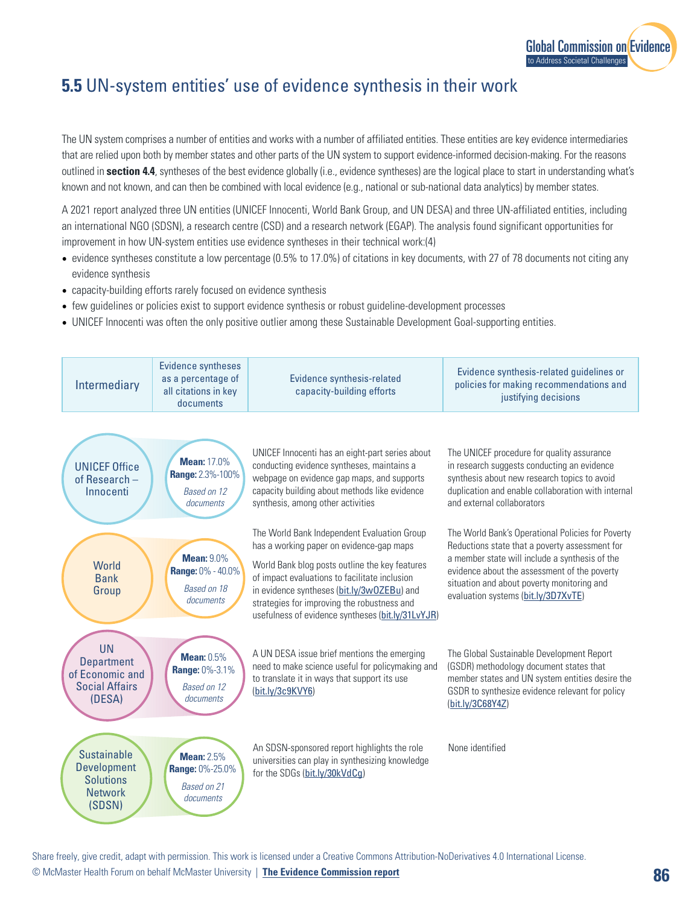

## **5.5** UN-system entities' use of evidence synthesis in their work

The UN system comprises a number of entities and works with a number of affiliated entities. These entities are key evidence intermediaries that are relied upon both by member states and other parts of the UN system to support evidence-informed decision-making. For the reasons outlined in **section 4.4**, syntheses of the best evidence globally (i.e., evidence syntheses) are the logical place to start in understanding what's known and not known, and can then be combined with local evidence (e.g., national or sub-national data analytics) by member states.

A 2021 report analyzed three UN entities (UNICEF Innocenti, World Bank Group, and UN DESA) and three UN-affiliated entities, including an international NGO (SDSN), a research centre (CSD) and a research network (EGAP). The analysis found significant opportunities for improvement in how UN-system entities use evidence syntheses in their technical work:(4)

- evidence syntheses constitute a low percentage (0.5% to 17.0%) of citations in key documents, with 27 of 78 documents not citing any evidence synthesis
- capacity-building efforts rarely focused on evidence synthesis
- few guidelines or policies exist to support evidence synthesis or robust guideline-development processes
- UNICEF Innocenti was often the only positive outlier among these Sustainable Development Goal-supporting entities.